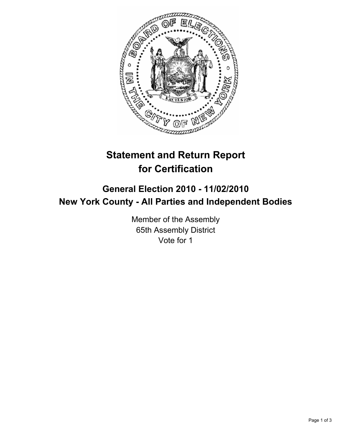

# **Statement and Return Report for Certification**

# **General Election 2010 - 11/02/2010 New York County - All Parties and Independent Bodies**

Member of the Assembly 65th Assembly District Vote for 1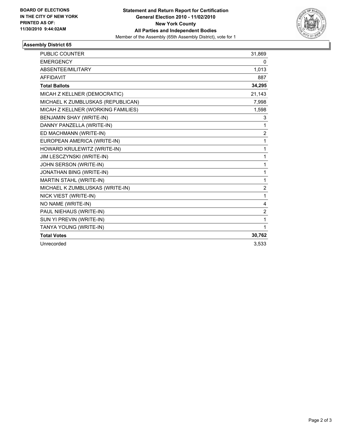

## **Assembly District 65**

| <b>PUBLIC COUNTER</b>              | 31,869         |
|------------------------------------|----------------|
| <b>EMERGENCY</b>                   | 0              |
| ABSENTEE/MILITARY                  | 1,013          |
| <b>AFFIDAVIT</b>                   | 887            |
| <b>Total Ballots</b>               | 34,295         |
| MICAH Z KELLNER (DEMOCRATIC)       | 21,143         |
| MICHAEL K ZUMBLUSKAS (REPUBLICAN)  | 7,998          |
| MICAH Z KELLNER (WORKING FAMILIES) | 1,598          |
| BENJAMIN SHAY (WRITE-IN)           | 3              |
| DANNY PANZELLA (WRITE-IN)          | 1              |
| ED MACHMANN (WRITE-IN)             | $\overline{2}$ |
| EUROPEAN AMERICA (WRITE-IN)        | 1              |
| HOWARD KRULEWITZ (WRITE-IN)        | 1              |
| JIM LESCZYNSKI (WRITE-IN)          | 1              |
| JOHN SERSON (WRITE-IN)             | 1              |
| JONATHAN BING (WRITE-IN)           | 1              |
| <b>MARTIN STAHL (WRITE-IN)</b>     | 1              |
| MICHAEL K ZUMBLUSKAS (WRITE-IN)    | $\overline{2}$ |
| NICK VIEST (WRITE-IN)              | 1              |
| NO NAME (WRITE-IN)                 | 4              |
| PAUL NIEHAUS (WRITE-IN)            | $\overline{2}$ |
| SUN YI PREVIN (WRITE-IN)           | 1              |
| TANYA YOUNG (WRITE-IN)             | 1              |
| <b>Total Votes</b>                 | 30,762         |
| Unrecorded                         | 3.533          |